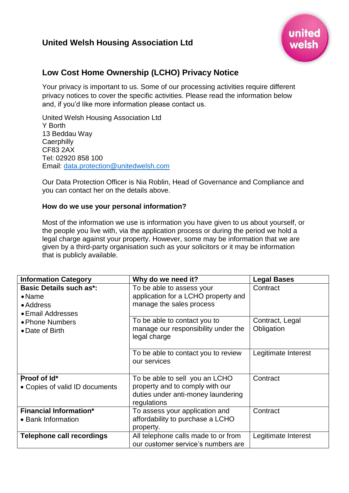# **United Welsh Housing Association Ltd**



# **Low Cost Home Ownership (LCHO) Privacy Notice**

Your privacy is important to us. Some of our processing activities require different privacy notices to cover the specific activities. Please read the information below and, if you'd like more information please contact us.

United Welsh Housing Association Ltd Y Borth 13 Beddau Way **Caerphilly** CF83 2AX Tel: 02920 858 100 Email: [data.protection@unitedwelsh.com](mailto:data.protection@unitedwelsh.com)

Our Data Protection Officer is Nia Roblin, Head of Governance and Compliance and you can contact her on the details above.

## **How do we use your personal information?**

Most of the information we use is information you have given to us about yourself, or the people you live with, via the application process or during the period we hold a legal charge against your property. However, some may be information that we are given by a third-party organisation such as your solicitors or it may be information that is publicly available.

| <b>Information Category</b>                                                        | Why do we need it?                                                                                                      | <b>Legal Bases</b>            |
|------------------------------------------------------------------------------------|-------------------------------------------------------------------------------------------------------------------------|-------------------------------|
| <b>Basic Details such as*:</b><br>$\bullet$ Name<br>• Address<br>• Email Addresses | To be able to assess your<br>application for a LCHO property and<br>manage the sales process                            | Contract                      |
| • Phone Numbers<br>• Date of Birth                                                 | To be able to contact you to<br>manage our responsibility under the<br>legal charge                                     | Contract, Legal<br>Obligation |
|                                                                                    | To be able to contact you to review<br>our services                                                                     | Legitimate Interest           |
| Proof of Id*<br>• Copies of valid ID documents                                     | To be able to sell -you an LCHO<br>property and to comply with our<br>duties under anti-money laundering<br>regulations | Contract                      |
| <b>Financial Information*</b><br>• Bank Information                                | To assess your application and<br>affordability to purchase a LCHO<br>property.                                         | Contract                      |
| <b>Telephone call recordings</b>                                                   | All telephone calls made to or from<br>our customer service's numbers are                                               | Legitimate Interest           |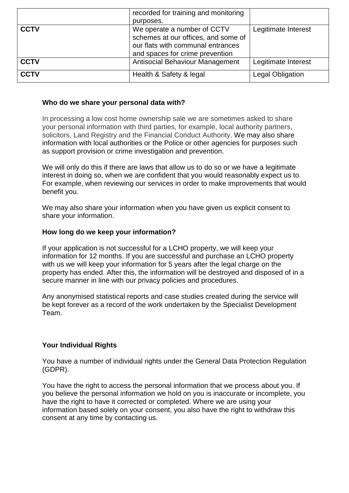|             | recorded for training and monitoring |                         |
|-------------|--------------------------------------|-------------------------|
|             | purposes.                            |                         |
| <b>CCTV</b> | We operate a number of CCTV          | Legitimate Interest     |
|             | schemes at our offices, and some of  |                         |
|             | our flats with communal entrances    |                         |
|             | and spaces for crime prevention      |                         |
| <b>CCTV</b> | Antisocial Behaviour Management      | Legitimate Interest     |
| <b>CCTV</b> | Health & Safety & legal              | <b>Legal Obligation</b> |

## **Who do we share your personal data with?**

In processing a low cost home ownership sale we are sometimes asked to share your personal information with third parties, for example, local authority partners, solicitors, Land Registry and the Financial Conduct Authority. We may also share information with local authorities or the Police or other agencies for purposes such as support provision or crime investigation and prevention.

We will only do this if there are laws that allow us to do so or we have a legitimate interest in doing so, when we are confident that you would reasonably expect us to. For example, when reviewing our services in order to make improvements that would benefit you.

We may also share your information when you have given us explicit consent to share your information.

#### **How long do we keep your information?**

If your application is not successful for a LCHO property, we will keep your information for 12 months. If you are successful and purchase an LCHO property with us we will keep your information for 5 years after the legal charge on the property has ended. After this, the information will be destroyed and disposed of in a secure manner in line with our privacy policies and procedures.

Any anonymised statistical reports and case studies created during the service will be kept forever as a record of the work undertaken by the Specialist Development Team.

# **Your Individual Rights**

You have a number of individual rights under the General Data Protection Regulation (GDPR).

You have the right to access the personal information that we process about you. If you believe the personal information we hold on you is inaccurate or incomplete, you have the right to have it corrected or completed. Where we are using your information based solely on your consent, you also have the right to withdraw this consent at any time by contacting us.